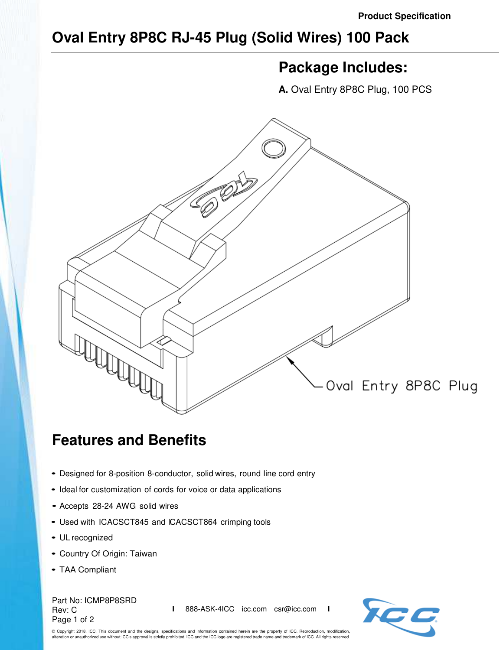## **Oval Entry 8P8C RJ-45 Plug (Solid Wires) 100 Pack**

## **Package Includes:**

**A.** Oval Entry 8P8C Plug, 100 PCS



## **Features and Benefits**

- Designed for 8-position 8-conductor, solid wires, round line cord entry
- Ideal for customization of cords for voice or data applications
- Accepts 28-24 AWG solid wires
- Used with ICACSCT845 and ICACSCT864 crimping tools
- UL recognized
- Country Of Origin: Taiwan
- TAA Compliant

Part No: ICMP8P8SRD Rev: C Page 1 of 2

**I** 888-ASK-4ICC icc.com csr@icc.com **I**



© Copyright 2018, ICC. This document and the designs, specifications and information contained herein are the property of ICC. Reproduction, modification, alteration or unauthorized use without ICC's approval is strictly prohibited. ICC and the ICC logo are registered trade name and trademark of ICC. All rights reserved.